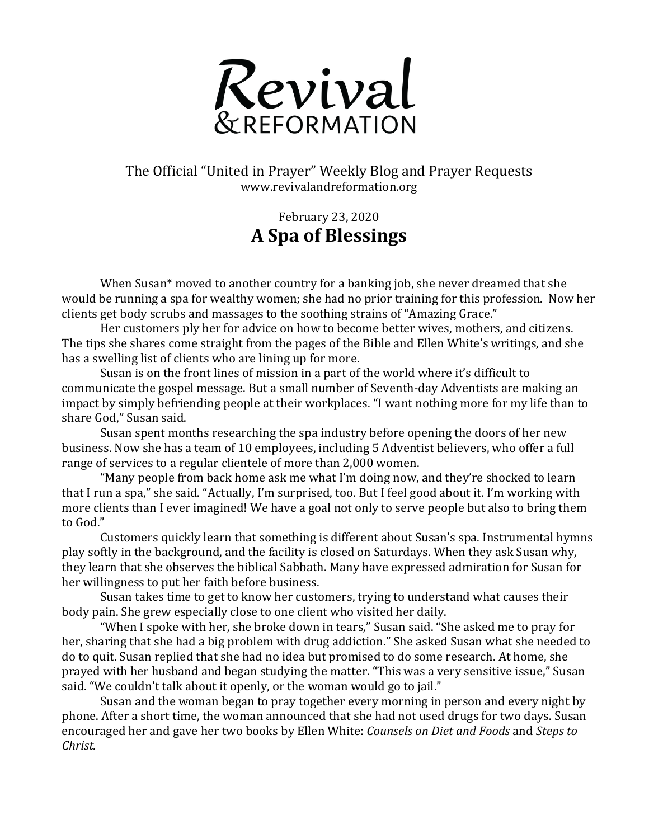

The Official "United in Prayer" Weekly Blog and Prayer Requests www.revivalandreformation.org

## February 23, 2020 **A Spa of Blessings**

When Susan\* moved to another country for a banking job, she never dreamed that she would be running a spa for wealthy women; she had no prior training for this profession. Now her clients get body scrubs and massages to the soothing strains of "Amazing Grace."

Her customers ply her for advice on how to become better wives, mothers, and citizens. The tips she shares come straight from the pages of the Bible and Ellen White's writings, and she has a swelling list of clients who are lining up for more.

Susan is on the front lines of mission in a part of the world where it's difficult to communicate the gospel message. But a small number of Seventh-day Adventists are making an impact by simply befriending people at their workplaces. "I want nothing more for my life than to share God," Susan said.

Susan spent months researching the spa industry before opening the doors of her new business. Now she has a team of 10 employees, including 5 Adventist believers, who offer a full range of services to a regular clientele of more than 2,000 women.

"Many people from back home ask me what I'm doing now, and they're shocked to learn that I run a spa," she said. "Actually, I'm surprised, too. But I feel good about it. I'm working with more clients than I ever imagined! We have a goal not only to serve people but also to bring them to God."

Customers quickly learn that something is different about Susan's spa. Instrumental hymns play softly in the background, and the facility is closed on Saturdays. When they ask Susan why, they learn that she observes the biblical Sabbath. Many have expressed admiration for Susan for her willingness to put her faith before business.

Susan takes time to get to know her customers, trying to understand what causes their body pain. She grew especially close to one client who visited her daily.

"When I spoke with her, she broke down in tears," Susan said. "She asked me to pray for her, sharing that she had a big problem with drug addiction." She asked Susan what she needed to do to quit. Susan replied that she had no idea but promised to do some research. At home, she prayed with her husband and began studying the matter. "This was a very sensitive issue," Susan said. "We couldn't talk about it openly, or the woman would go to jail."

Susan and the woman began to pray together every morning in person and every night by phone. After a short time, the woman announced that she had not used drugs for two days. Susan encouraged her and gave her two books by Ellen White: *Counsels on Diet and Foods* and *Steps to Christ.*